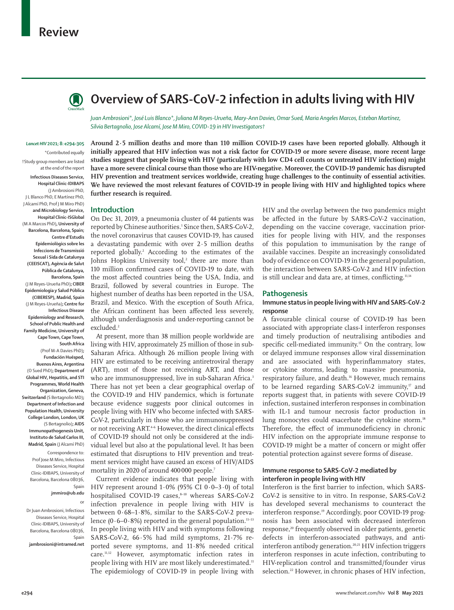## **Review**



# **Overview of SARS-CoV-2 infection in adults living with HIV**

*Juan Ambrosioni\*, José Luis Blanco\*, Juliana M Reyes-Urueña, Mary-Ann Davies, Omar Sued, Maria Angeles Marcos, Esteban Martínez, Silvia Bertagnolio, Jose Alcamí, Jose M Miro, COVID-19 in HIV Investigators†*

#### *Lancet HIV* **2021; 8: e294–305**

\*Contributed equally †Study group members are listed at the end of the report

**Infectious Diseases Service, Hospital Clinic-IDIBAPS**  (J Ambrosioni PhD, J L Blanco PhD, E Martínez PhD, J Alcamí PhD, Prof J M Miro PhD) **and Microbiology Service, Hospital Clinic-ISGlobal**  (M A Marcos PhD)**, University of Barcelona, Barcelona, Spain; Centre d'Estudis Epidemiològics sobre les Infeccions de Transmissió Sexual i Sida de Catalunya (CEEISCAT), Agència de Salut Pública de Catalunya, Barcelona, Spain**  (J M Reyes-Urueña PhD)**; CIBER Epidemiologia y Salud Pública (CIBERESP), Madrid, Spain** (J M Reyes-Urueña)**; Centre for Infectious Disease Epidemiology and Research, School of Public Health and Family Medicine, University of Cape Town, Cape Town, South Africa** (Prof M-A Davies PhD)**; Fundación Huésped,** 

**Buenos Aires, Argentina** (O Sued PhD)**; Department of Global HIV, Hepatitis, and STI Programmes, World Health Organization, Geneva, Switzerland** (S Bertagnolio MD)**; Department of Infection and Population Health, University College London, London, UK**  (S Bertagnolio)**; AIDS Immunopathogenesis Unit, Instituto de Salud Carlos III, Madrid, Spain** (J Alcamí PhD)

> Correspondence to: Prof Jose M Miro, Infectious Diseases Service, Hospital Clinic-IDIBAPS, University of Barcelona, Barcelona 08036,

> > **jmmiro@ub.edu**

Spain

or

Dr Juan Ambrosioni, Infectious Diseases Service, Hospital Clinic-IDIBAPS, University of Barcelona, Barcelona 08036, Spain

**jambrosioni@intramed.net**

**Around 2·5 million deaths and more than 110 million COVID-19 cases have been reported globally. Although it initially appeared that HIV infection was not a risk factor for COVID-19 or more severe disease, more recent large studies suggest that people living with HIV (particularly with low CD4 cell counts or untreated HIV infection) might have a more severe clinical course than those who are HIV-negative. Moreover, the COVID-19 pandemic has disrupted HIV prevention and treatment services worldwide, creating huge challenges to the continuity of essential activities. We have reviewed the most relevant features of COVID-19 in people living with HIV and highlighted topics where further research is required.**

#### **Introduction**

On Dec 31, 2019, a pneumonia cluster of 44 patients was reported by Chinese authorities.1 Since then, SARS-CoV-2, the novel coronavirus that causes COVID-19, has caused a devastating pandemic with over 2·5 million deaths reported globally.2 According to the estimates of the Johns Hopkins University tool,<sup>2</sup> there are more than 110 million confirmed cases of COVID-19 to date, with the most affected countries being the USA, India, and Brazil, followed by several countries in Europe. The highest number of deaths has been reported in the USA, Brazil, and Mexico. With the exception of South Africa, the African continent has been affected less severely, although underdiagnosis and under-reporting cannot be excluded.<sup>2</sup>

At present, more than 38 million people worldwide are living with HIV, approximately 25 million of those in sub-Saharan Africa. Although 26 million people living with HIV are estimated to be receiving antiretroviral therapy (ART), most of those not receiving ART, and those who are immunosuppressed, live in sub-Saharan Africa.<sup>3</sup> There has not yet been a clear geographical overlap of the COVID-19 and HIV pandemics, which is fortunate because evidence suggests poor clinical outcomes in people living with HIV who become infected with SARS-CoV-2, particularly in those who are immunosuppressed or not receiving ART.<sup>4-6</sup> However, the direct clinical effects of COVID-19 should not only be considered at the individual level but also at the populational level. It has been estimated that disruptions to HIV prevention and treatment services might have caused an excess of HIV/AIDS mortality in 2020 of around 400000 people.7

Current evidence indicates that people living with HIV represent around  $1.0\%$  (95% CI  $0.0-3.0$ ) of total hospitalised COVID-19 cases,<sup>8-10</sup> whereas SARS-CoV-2 infection prevalence in people living with HIV is between 0·68–1·8%, similar to the SARS-CoV-2 prevalence  $(0.6-0.8\%)$  reported in the general population.<sup>11-13</sup> In people living with HIV and with symptoms following SARS-CoV-2, 66·5% had mild symptoms, 21·7% reported severe symptoms, and 11·8% needed critical care.<sup>11,12</sup> However, asymptomatic infection rates in people living with HIV are most likely underestimated.<sup>11</sup> The epidemiology of COVID-19 in people living with

HIV and the overlap between the two pandemics might be affected in the future by SARS-CoV-2 vaccination, depending on the vaccine coverage, vaccination priorities for people living with HIV, and the responses of this population to immunisation by the range of available vaccines. Despite an increasingly consolidated body of evidence on COVID-19 in the general population, the interaction between SARS-CoV-2 and HIV infection is still unclear and data are, at times, conflicting.<sup>11,14</sup>

#### **Pathogenesis**

#### **Immune status in people living with HIV and SARS-CoV-2 response**

A favourable clinical course of COVID-19 has been associated with appropriate class-I interferon responses and timely production of neutralising antibodies and specific cell-mediated immunity.15 On the contrary, low or delayed immune responses allow viral dissemination and are associated with hyperinflammatory states, or cytokine storms, leading to massive pneumonia, respiratory failure, and death.<sup>16</sup> However, much remains to be learned regarding SARS-CoV-2 immunity, $\sigma$  and reports suggest that, in patients with severe COVID-19 infection, sustained interferon responses in combination with IL-1 and tumour necrosis factor production in lung monocytes could exacerbate the cytokine storm.<sup>18</sup> Therefore, the effect of immunodeficiency in chronic HIV infection on the appropriate immune response to COVID-19 might be a matter of concern or might offer potential protection against severe forms of disease.

## **Immune response to SARS-CoV-2 mediated by interferon in people living with HIV**

Interferon is the first barrier to infection, which SARS-CoV-2 is sensitive to in vitro. In response, SARS-CoV-2 has developed several mechanisms to counteract the interferon response.<sup>19</sup> Accordingly, poor COVID-19 prognosis has been associated with decreased interferon response,<sup>20</sup> frequently observed in older patients, genetic defects in interferon-associated pathways, and antiinterferon antibody generation.20,21 HIV infection triggers interferon responses in acute infection, contributing to HIV-replication control and transmitted/founder virus selection.<sup>22</sup> However, in chronic phases of HIV infection,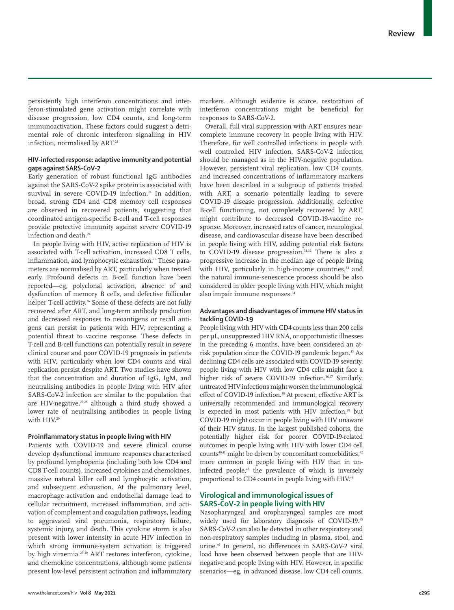persistently high interferon concentrations and interferon-stimulated gene activation might correlate with disease progression, low CD4 counts, and long-term immunoactivation. These factors could suggest a detrimental role of chronic interferon signalling in HIV infection, normalised by ART.23

## **HIV-infected response: adaptive immunity and potential gaps against SARS-CoV-2**

Early generation of robust functional IgG antibodies against the SARS-CoV-2 spike protein is associated with survival in severe COVID-19 infection.<sup>24</sup> In addition, broad, strong CD4 and CD8 memory cell responses are observed in recovered patients, suggesting that coordinated antigen-specific B-cell and T-cell responses provide protective immunity against severe COVID-19 infection and death.<sup>24</sup>

In people living with HIV, active replication of HIV is associated with T-cell activation, increased CD8 T cells, inflammation, and lymphocytic exhaustion.<sup>25</sup> These parameters are normalised by ART, particularly when treated early. Profound defects in B-cell function have been reported—eg, polyclonal activation, absence of and dysfunction of memory B cells, and defective follicular helper T-cell activity.<sup>26</sup> Some of these defects are not fully recovered after ART, and long-term antibody production and decreased responses to neoantigens or recall antigens can persist in patients with HIV, representing a potential threat to vaccine response. These defects in T-cell and B-cell functions can potentially result in severe clinical course and poor COVID-19 prognosis in patients with HIV, particularly when low CD4 counts and viral replication persist despite ART. Two studies have shown that the concentration and duration of IgG, IgM, and neutralising antibodies in people living with HIV after SARS-CoV-2 infection are similar to the population that are HIV-negative, $27,28$  although a third study showed a lower rate of neutralising antibodies in people living with HIV.<sup>29</sup>

#### **Proinflammatory status in people living with HIV**

Patients with COVID-19 and severe clinical course develop dysfunctional immune responses characterised by profound lymphopenia (including both low CD4 and CD8 T-cell counts), increased cytokines and chemokines, massive natural killer cell and lymphocytic activation, and subsequent exhaustion. At the pulmonary level, macrophage activation and endothelial damage lead to cellular recruitment, increased inflammation, and activation of complement and coagulation pathways, leading to aggravated viral pneumonia, respiratory failure, systemic injury, and death. This cytokine storm is also present with lower intensity in acute HIV infection in which strong immune-system activation is triggered by high viraemia.<sup>25,30</sup> ART restores interferon, cytokine, and chemokine concentrations, although some patients present low-level persistent activation and inflammatory markers. Although evidence is scarce, restoration of interferon concentrations might be beneficial for responses to SARS-CoV-2.

Overall, full viral suppression with ART ensures nearcomplete immune recovery in people living with HIV. Therefore, for well controlled infections in people with well controlled HIV infection, SARS-CoV-2 infection should be managed as in the HIV-negative population. However, persistent viral replication, low CD4 counts, and increased concentrations of inflammatory markers have been described in a subgroup of patients treated with ART, a scenario potentially leading to severe COVID-19 disease progression. Additionally, defective B-cell functioning, not completely recovered by ART, might contribute to decreased COVID-19-vaccine response. Moreover, increased rates of cancer, neurological disease, and cardiovascular disease have been described in people living with HIV, adding potential risk factors to COVID-19 disease progression.<sup>31,32</sup> There is also a progressive increase in the median age of people living with HIV, particularly in high-income countries,<sup>33</sup> and the natural immune-senescence process should be also considered in older people living with HIV, which might also impair immune responses.<sup>34</sup>

## **Advantages and disadvantages of immune HIV status in tackling COVID-19**

People living with HIV with CD4 counts less than 200 cells per μL, unsuppressed HIV RNA, or opportunistic illnesses in the preceding 6 months, have been considered an atrisk population since the COVID-19 pandemic began.<sup>35</sup> As declining CD4 cells are associated with COVID-19 severity, people living with HIV with low CD4 cells might face a higher risk of severe COVID-19 infection.<sup>36,37</sup> Similarly, untreated HIV infections might worsen the immunological effect of COVID-19 infection.<sup>38</sup> At present, effective ART is universally recommended and immunological recovery is expected in most patients with HIV infection,<sup>39</sup> but COVID-19 might occur in people living with HIV unaware of their HIV status. In the largest published cohorts, the potentially higher risk for poorer COVID-19-related outcomes in people living with HIV with lower CD4 cell counts<sup>40,41</sup> might be driven by concomitant comorbidities.<sup>42</sup> more common in people living with HIV than in uninfected people,43 the prevalence of which is inversely proportional to CD4 counts in people living with HIV.<sup>44</sup>

## **Virological and immunological issues of SARS-CoV-2 in people living with HIV**

Nasopharyngeal and oropharyngeal samples are most widely used for laboratory diagnosis of COVID-19.45 SARS-CoV-2 can also be detected in other respiratory and non-respiratory samples including in plasma, stool, and urine.46 In general, no differences in SARS-CoV-2 viral load have been observed between people that are HIVnegative and people living with HIV. However, in specific scenarios—eg, in advanced disease, low CD4 cell counts,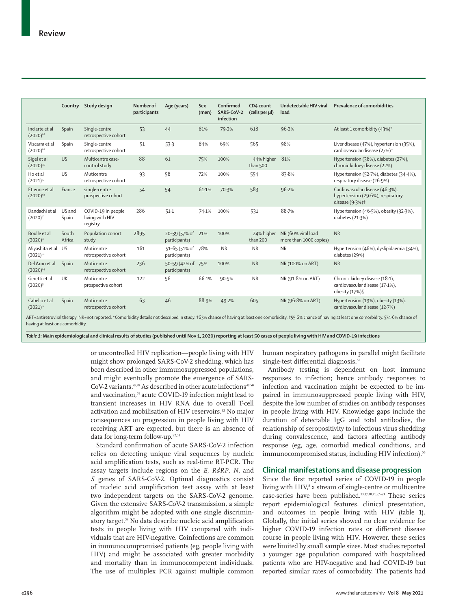|                                                                                                                                                                                                               |                 | Country Study design                              | Number of<br>participants | Age (years)                         | Sex<br>(men) | Confirmed<br>SARS-CoV-2<br>infection | CD4 count<br>(cells per µl) | Undetectable HIV viral<br>load               | Prevalence of comorbidities                                                                      |
|---------------------------------------------------------------------------------------------------------------------------------------------------------------------------------------------------------------|-----------------|---------------------------------------------------|---------------------------|-------------------------------------|--------------|--------------------------------------|-----------------------------|----------------------------------------------|--------------------------------------------------------------------------------------------------|
| Inciarte et al<br>$(2020)^{62}$                                                                                                                                                                               | Spain           | Single-centre<br>retrospective cohort             | 53                        | 44                                  | 81%          | 79.2%                                | 618                         | 96.2%                                        | At least 1 comorbidity (43%)*                                                                    |
| Vizcarra et al<br>$(2020)^{61}$                                                                                                                                                                               | Spain           | Single-centre<br>retrospective cohort             | 51                        | 53.3                                | 84%          | 69%                                  | 565                         | 98%                                          | Liver disease (47%), hypertension (35%),<br>cardiovascular disease (27%) <sup>+</sup>            |
| Sigel et al<br>$(2020)^{40}$                                                                                                                                                                                  | <b>US</b>       | Multicentre case-<br>control study                | 88                        | 61                                  | 75%          | 100%                                 | 44% higher<br>than 500      | 81%                                          | Hypertension (38%), diabetes (27%),<br>chronic kidney disease (22%)                              |
| Ho et al<br>$(2021)^{37}$                                                                                                                                                                                     | US              | Muticentre<br>retrospective cohort                | 93                        | 58                                  | 72%          | 100%                                 | 554                         | 83.8%                                        | Hypertension (52-7%), diabetes (34-4%),<br>respiratory disease (26-9%)                           |
| Etienne et al<br>$(2020)^{63}$                                                                                                                                                                                | France          | single-centre<br>prospective cohort               | 54                        | 54                                  | 61.1%        | 70.3%                                | 583                         | 96.2%                                        | Cardiovascular disease (46.3%),<br>hypertension (29.6%), respiratory<br>disease $(9.3%)\ddagger$ |
| Dandachi et al<br>$(2020)^{41}$                                                                                                                                                                               | US and<br>Spain | COVID-19 in people<br>living with HIV<br>registry | 286                       | $51-1$                              | 74.1%        | 100%                                 | 531                         | 88.7%                                        | Hypertension (46.5%), obesity (32.3%),<br>diabetes (21.3%)                                       |
| Boulle et al<br>$(2020)^4$                                                                                                                                                                                    | South<br>Africa | Population cohort<br>study                        | 2895                      | 20-39 (57% of 21%)<br>participants) |              | 100%                                 | 24% higher<br>than 200      | NR (60% viral load<br>more than 1000 copies) | <b>NR</b>                                                                                        |
| Miyashita et al<br>$(2021)^{64}$                                                                                                                                                                              | US.             | Muticentre<br>retrospective cohort                | 161                       | 51-65 (51% of<br>participants)      | 78%          | <b>NR</b>                            | <b>NR</b>                   | <b>NR</b>                                    | Hypertension (46%), dyslipidaemia (34%),<br>diabetes (29%)                                       |
| Del Amo et al<br>$(2020)^{65}$                                                                                                                                                                                | Spain           | Muticentre<br>retrospective cohort                | 236                       | 50-59 (42% of 75%)<br>participants) |              | 100%                                 | <b>NR</b>                   | NR (100% on ART)                             | <b>NR</b>                                                                                        |
| Geretti et al<br>$(2020)^5$                                                                                                                                                                                   | UK              | Muticentre<br>prospective cohort                  | 122                       | 56                                  | 66.1%        | 90.5%                                | <b>NR</b>                   | NR (91.8% on ART)                            | Chronic kidney disease (18-1),<br>cardiovascular disease (17-1%),<br>obesity (17%)§              |
| Cabello et al<br>$(2021)^{57}$                                                                                                                                                                                | Spain           | Muticentre<br>retrospective cohort                | 63                        | 46                                  | 88.9%        | 49.2%                                | 605                         | NR (96.8% on ART)                            | Hypertension (19%), obesity (13%),<br>cardiovascular disease (12.7%)                             |
| ART=antiretroviral therapy. NR=not reported. *Comorbidity details not described in study. +63% chance of having at least one comorbidity. #55.6% chance of having at least one comorbidity. \$74.6% chance of |                 |                                                   |                           |                                     |              |                                      |                             |                                              |                                                                                                  |

having at least one comorbidity.

*Table 1:* **Main epidemiological and clinical results of studies (published until Nov 1, 2020) reporting at least 50 cases of people living with HIV and COVID-19 infections**

or uncontrolled HIV replication—people living with HIV might show prolonged SARS-CoV-2 shedding, which has been described in other immunosuppressed populations, and might eventually promote the emergence of SARS-CoV-2 variants.<sup>47,48</sup> As described in other acute infections<sup>49,50</sup> and vaccination,<sup>51</sup> acute COVID-19 infection might lead to transient increases in HIV RNA due to overall T-cell activation and mobilisation of HIV reservoirs.<sup>52</sup> No major consequences on progression in people living with HIV receiving ART are expected, but there is an absence of data for long-term follow-up.<sup>52,53</sup>

Standard confirmation of acute SARS-CoV-2 infection relies on detecting unique viral sequences by nucleic acid amplification tests, such as real-time RT-PCR. The assay targets include regions on the *E*, *RdRP*, *N*, and *S* genes of SARS-CoV-2. Optimal diagnostics consist of nucleic acid amplification test assay with at least two independent targets on the SARS-CoV-2 genome. Given the extensive SARS-CoV-2 transmission, a simple algorithm might be adopted with one single discriminatory target.54 No data describe nucleic acid amplification tests in people living with HIV compared with individuals that are HIV-negative. Coinfections are common in immunocompromised patients (eg, people living with HIV) and might be associated with greater morbidity and mortality than in immunocompetent individuals. The use of multiplex PCR against multiple common human respiratory pathogens in parallel might facilitate single-test differential diagnosis.<sup>55</sup>

Antibody testing is dependent on host immune responses to infection; hence antibody responses to infection and vaccination might be expected to be impaired in immunosuppressed people living with HIV, despite the low number of studies on antibody responses in people living with HIV. Knowledge gaps include the duration of detectable IgG and total antibodies, the relationship of seropositivity to infectious virus shedding during convalescence, and factors affecting antibody response (eg, age, comorbid medical conditions, and immunocompromised status, including HIV infection).<sup>56</sup>

### **Clinical manifestations and disease progression**

Since the first reported series of COVID-19 in people living with HIV,<sup>8</sup> a stream of single-centre or multicentre case-series have been published.13,37,40,41,57–63 These series report epidemiological features, clinical presentation, and outcomes in people living with HIV (table 1). Globally, the initial series showed no clear evidence for higher COVID-19 infection rates or different disease course in people living with HIV. However, these series were limited by small sample sizes. Most studies reported a younger age population compared with hospitalised patients who are HIV-negative and had COVID-19 but reported similar rates of comorbidity. The patients had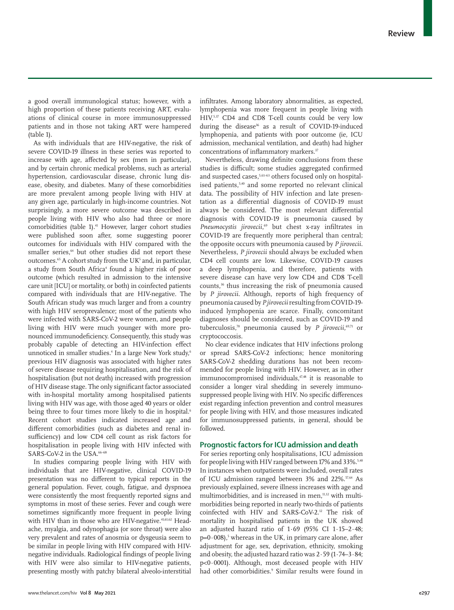a good overall immunological status; however, with a high proportion of these patients receiving ART, evaluations of clinical course in more immunosuppressed patients and in those not taking ART were hampered (table 1).

As with individuals that are HIV-negative, the risk of severe COVID-19 illness in these series was reported to increase with age, affected by sex (men in particular), and by certain chronic medical problems, such as arterial hypertension, cardiovascular disease, chronic lung disease, obesity, and diabetes. Many of these comorbidities are more prevalent among people living with HIV at any given age, particularly in high-income countries. Not surprisingly, a more severe outcome was described in people living with HIV who also had three or more comorbidities (table 1).41 However, larger cohort studies were published soon after, some suggesting poorer outcomes for individuals with HIV compared with the smaller series,<sup>64</sup> but other studies did not report these outcomes.<sup>65</sup> A cohort study from the UK<sup>5</sup> and, in particular, a study from South Africa<sup>4</sup> found a higher risk of poor outcome (which resulted in admission to the intensive care unit [ICU] or mortality, or both) in coinfected patients compared with individuals that are HIV-negative. The South African study was much larger and from a country with high HIV seroprevalence; most of the patients who were infected with SARS-CoV-2 were women, and people living with HIV were much younger with more pronounced immunodeficiency. Consequently, this study was probably capable of detecting an HIV-infection effect unnoticed in smaller studies.<sup>4</sup> In a large New York study,<sup>6</sup> previous HIV diagnosis was associated with higher rates of severe disease requiring hospitalisation, and the risk of hospitalisation (but not death) increased with progression of HIV disease stage. The only significant factor associated with in-hospital mortality among hospitalised patients living with HIV was age, with those aged 40 years or older being three to four times more likely to die in hospital.<sup>6</sup> Recent cohort studies indicated increased age and different comorbidities (such as diabetes and renal insufficiency) and low CD4 cell count as risk factors for hospitalisation in people living with HIV infected with SARS-CoV-2 in the USA.<sup>66-68</sup>

In studies comparing people living with HIV with individuals that are HIV-negative, clinical COVID-19 presentation was no different to typical reports in the general population. Fever, cough, fatigue, and dyspnoea were consistently the most frequently reported signs and symptoms in most of these series. Fever and cough were sometimes significantly more frequent in people living with HIV than in those who are HIV-negative.<sup>41,61,62</sup> Headache, myalgia, and odynophagia (or sore throat) were also very prevalent and rates of anosmia or dysgeusia seem to be similar in people living with HIV compared with HIVnegative individuals. Radiological findings of people living with HIV were also similar to HIV-negative patients, presenting mostly with patchy bilateral alveolo-interstitial infiltrates. Among laboratory abnormalities, as expected, lymphopenia was more frequent in people living with HIV,5,37 CD4 and CD8 T-cell counts could be very low during the disease<sup>36</sup> as a result of COVID-19-induced lymphopenia, and patients with poor outcome (ie, ICU admission, mechanical ventilation, and death) had higher concentrations of inflammatory markers.<sup>37</sup>

Nevertheless, drawing definite conclusions from these studies is difficult; some studies aggregated confirmed and suspected cases,<sup>5,61–63</sup> others focused only on hospitalised patients,<sup>5,40</sup> and some reported no relevant clinical data. The possibility of HIV infection and late presentation as a differential diagnosis of COVID-19 must always be considered. The most relevant differential diagnosis with COVID-19 is pneumonia caused by *Pneumocystis jirovecii*, 69 but chest x-ray infiltrates in COVID-19 are frequently more peripheral than central; the opposite occurs with pneumonia caused by *P jirovecii*. Nevertheless, *P jirovecii* should always be excluded when CD4 cell counts are low. Likewise, COVID-19 causes a deep lymphopenia, and therefore, patients with severe disease can have very low CD4 and CD8 T-cell counts,<sup>36</sup> thus increasing the risk of pneumonia caused by *P jirovecii*. Although, reports of high frequency of pneumonia caused by *P jirovecii* resulting from COVID-19 induced lymphopenia are scarce. Finally, concomitant diagnoses should be considered, such as COVID-19 and tuberculosis,70 pneumonia caused by *P jirovecii*, 69,71 or cryptococcosis.

No clear evidence indicates that HIV infections prolong or spread SARS-CoV-2 infections; hence monitoring SARS-CoV-2 shedding durations has not been recommended for people living with HIV. However, as in other immunocompromised individuals,<sup>47,48</sup> it is reasonable to consider a longer viral shedding in severely immunosuppressed people living with HIV. No specific differences exist regarding infection prevention and control measures for people living with HIV, and those measures indicated for immunosuppressed patients, in general, should be followed.

## **Prognostic factors for ICU admission and death**

For series reporting only hospitalisations, ICU admission for people living with HIV ranged between 17% and 33%.<sup>5,40</sup> In instances when outpatients were included, overall rates of ICU admission ranged between 3% and 22%.<sup>57,64</sup> As previously explained, severe illness increases with age and multimorbidities, and is increased in men,<sup>11,12</sup> with multimorbidities being reported in nearly two-thirds of patients coinfected with HIV and SARS-CoV-2.12 The risk of mortality in hospitalised patients in the UK showed an adjusted hazard ratio of 1·69 (95% CI 1·15–2·48;  $p=0.008$ ),<sup>5</sup> whereas in the UK, in primary care alone, after adjustment for age, sex, deprivation, ethnicity, smoking and obesity, the adjusted hazard ratio was 2·59 (1·74–3·84; p<0·0001). Although, most deceased people with HIV had other comorbidities.<sup>9</sup> Similar results were found in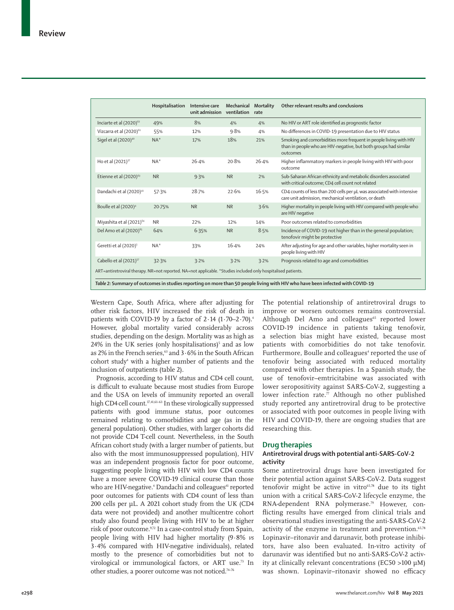|                                                                                                               | Hospitalisation | Intensive care<br>unit admission | Mechanical<br>ventilation | <b>Mortality</b><br>rate | Other relevant results and conclusions                                                                                                            |
|---------------------------------------------------------------------------------------------------------------|-----------------|----------------------------------|---------------------------|--------------------------|---------------------------------------------------------------------------------------------------------------------------------------------------|
| Inciarte et al (2020) <sup>62</sup>                                                                           | 49%             | 8%                               | 4%                        | 4%                       | No HIV or ART role identified as prognostic factor                                                                                                |
| Vizcarra et al (2020) <sup>61</sup>                                                                           | 55%             | 12%                              | 9.8%                      | 4%                       | No differences in COVID-19 presentation due to HIV status                                                                                         |
| Sigel et al (2020) <sup>40</sup>                                                                              | $NA^*$          | 17%                              | 18%                       | 21%                      | Smoking and comorbidities more frequent in people living with HIV<br>than in people who are HIV-negative, but both groups had similar<br>outcomes |
| Ho et al (2021) <sup>37</sup>                                                                                 | $NA*$           | 26.4%                            | 20.8%                     | 26.4%                    | Higher inflammatory markers in people living with HIV with poor<br>outcome                                                                        |
| Etienne et al (2020) <sup>63</sup>                                                                            | <b>NR</b>       | 9.3%                             | <b>NR</b>                 | 2%                       | Sub-Saharan African ethnicity and metabolic disorders associated<br>with critical outcome; CD4 cell count not related                             |
| Dandachi et al (2020) <sup>41</sup>                                                                           | 57.3%           | 28.7%                            | 22.6%                     | 16.5%                    | CD4 counts of less than 200 cells per µL was associated with intensive<br>care unit admission, mechanical ventilation, or death                   |
| Boulle et al (2020) <sup>4</sup>                                                                              | 20.75%          | <b>NR</b>                        | <b>NR</b>                 | 3.6%                     | Higher mortality in people living with HIV compared with people who<br>are HIV negative                                                           |
| Miyashita et al (2021) <sup>64</sup>                                                                          | <b>NR</b>       | 22%                              | 12%                       | 14%                      | Poor outcomes related to comorbidities                                                                                                            |
| Del Amo et al (2020) <sup>65</sup>                                                                            | 64%             | 6.35%                            | <b>NR</b>                 | 8.5%                     | Incidence of COVID-19 not higher than in the general population;<br>tenofovir might be protective                                                 |
| Geretti et al (2020) <sup>5</sup>                                                                             | $NA*$           | 33%                              | 16.4%                     | 24%                      | After adjusting for age and other variables, higher mortality seen in<br>people living with HIV                                                   |
| Cabello et al (2021) <sup>57</sup>                                                                            | 32.3%           | 3.2%                             | 3.2%                      | 3.2%                     | Prognosis related to age and comorbidities                                                                                                        |
| ART=antiretroviral therapy. NR=not reported. NA=not applicable. *Studies included only hospitalised patients. |                 |                                  |                           |                          | Table 2: Summary of outcomes in studies reporting on more than 50 people living with HIV who have been infected with COVID-19                     |

Western Cape, South Africa, where after adjusting for other risk factors, HIV increased the risk of death in patients with COVID-19 by a factor of  $2.14$  (1.70–2.70).<sup>4</sup> However, global mortality varied considerably across studies, depending on the design. Mortality was as high as  $24\%$  in the UK series (only hospitalisations)<sup>5</sup> and as low as 2% in the French series, $63$  and 3 $\cdot$  6% in the South African cohort study<sup>4</sup> with a higher number of patients and the inclusion of outpatients (table 2).

Prognosis, according to HIV status and CD4 cell count, is difficult to evaluate because most studies from Europe and the USA on levels of immunity reported an overall high CD4 cell count.<sup>37,41,61-63</sup> In these virologically suppressed patients with good immune status, poor outcomes remained relating to comorbidities and age (as in the general population). Other studies, with larger cohorts did not provide CD4 T-cell count. Nevertheless, in the South African cohort study (with a larger number of patients, but also with the most immunosuppressed population), HIV was an independent prognosis factor for poor outcome, suggesting people living with HIV with low CD4 counts have a more severe COVID-19 clinical course than those who are HIV-negative.<sup>4</sup> Dandachi and colleagues<sup>41</sup> reported poor outcomes for patients with CD4 count of less than 200 cells per µL. A 2021 cohort study from the UK (CD4 data were not provided) and another multicentre cohort study also found people living with HIV to be at higher risk of poor outcome.<sup>9,72</sup> In a case-control study from Spain, people living with HIV had higher mortality (9·8% *vs* 3·4% compared with HIV-negative individuals), related mostly to the presence of comorbidities but not to virological or immunological factors, or ART use.<sup>73</sup> In other studies, a poorer outcome was not noticed.74–76

The potential relationship of antiretroviral drugs to improve or worsen outcomes remains controversial. Although Del Amo and colleagues<sup>65</sup> reported lower COVID-19 incidence in patients taking tenofovir, a selection bias might have existed, because most patients with comorbidities do not take tenofovir. Furthermore, Boulle and colleagues<sup>4</sup> reported the use of tenofovir being associated with reduced mortality compared with other therapies. In a Spanish study, the use of tenofovir–emtricitabine was associated with lower seropositivity against SARS-CoV-2, suggesting a lower infection rate. $\bar{7}$  Although no other published study reported any antiretroviral drug to be protective or associated with poor outcomes in people living with HIV and COVID-19, there are ongoing studies that are researching this.

#### **Drug therapies**

## **Antiretroviral drugs with potential anti-SARS-CoV-2 activity**

Some antiretroviral drugs have been investigated for their potential action against SARS-CoV-2. Data suggest tenofovir might be active in vitro $65,78$  due to its tight union with a critical SARS-CoV-2 lifecycle enzyme, the RNA-dependent RNA polymerase.79 However, conflicting results have emerged from clinical trials and observational studies investigating the anti-SARS-CoV-2 activity of the enzyme in treatment and prevention.<sup>65,78</sup> Lopinavir–ritonavir and darunavir, both protease inhibitors, have also been evaluated. In-vitro activity of darunavir was identified but no anti-SARS-CoV-2 activity at clinically relevant concentrations (EC50 >100 μM) was shown. Lopinavir–ritonavir showed no efficacy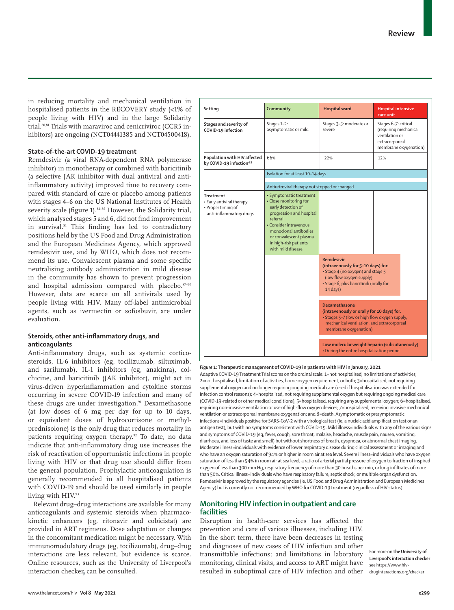in reducing mortality and mechanical ventilation in hospitalised patients in the RECOVERY study (<1% of people living with HIV) and in the large Solidarity trial.80,81 Trials with maraviroc and cenicriviroc (CCR5 inhibitors) are ongoing (NCT04441385 and NCT04500418).

### **State-of-the-art COVID-19 treatment**

Remdesivir (a viral RNA-dependent RNA polymerase inhibitor) in monotherapy or combined with baricitinib (a selective JAK inhibitor with dual antiviral and antiinflammatory activity) improved time to recovery compared with standard of care or placebo among patients with stages 4–6 on the US National Institutes of Health severity scale (figure 1).<sup>81-86</sup> However, the Solidarity trial, which analysed stages 5 and 6, did not find improvement in survival.81 This finding has led to contradictory positions held by the US Food and Drug Administration and the European Medicines Agency, which approved remdesivir use, and by WHO, which does not recommend its use. Convalescent plasma and some specific neutralising antibody administration in mild disease in the community has shown to prevent progression and hospital admission compared with placebo.87-90 However, data are scarce on all antivirals used by people living with HIV. Many off-label antimicrobial agents, such as ivermectin or sofosbuvir, are under evaluation.

## **Steroids, other anti-inflammatory drugs, and anticoagulants**

Anti-inflammatory drugs, such as systemic corticosteroids, IL-6 inhibitors (eg, tocilizumab, siltuximab, and sarilumab), IL-1 inhibitors (eg, anakinra), colchicine, and baricitinib (JAK inhibitor), might act in virus-driven hyperinflammation and cytokine storms occurring in severe COVID-19 infection and many of these drugs are under investigation.<sup>91</sup> Dexamethasone (at low doses of 6 mg per day for up to 10 days, or equivalent doses of hydrocortisone or methylprednisolone) is the only drug that reduces mortality in patients requiring oxygen therapy.92 To date, no data indicate that anti-inflammatory drug use increases the risk of reactivation of opportunistic infections in people living with HIV or that drug use should differ from the general population. Prophylactic anticoagulation is generally recommended in all hospitalised patients with COVID-19 and should be used similarly in people living with HIV.93

Relevant drug–drug interactions are available for many anticoagulants and systemic steroids when pharmacokinetic enhancers (eg, ritonavir and cobicistat) are provided in ART regimens. Dose adaptation or changes in the concomitant medication might be necessary. With immunomodulatory drugs (eg, tocilizumab), drug–drug interactions are less relevant, but evidence is scarce. Online resources, such as the [University of Liverpool's](https://www.hiv-druginteractions.org/checker)  [interaction checker](https://www.hiv-druginteractions.org/checker), can be consulted.

| Setting                                                                                        | Community                                                                                                                                                                                                                                  | <b>Hospital ward</b>                                                                                                                                                                       | <b>Hospital intensive</b><br>care unit                                                                     |  |  |  |  |
|------------------------------------------------------------------------------------------------|--------------------------------------------------------------------------------------------------------------------------------------------------------------------------------------------------------------------------------------------|--------------------------------------------------------------------------------------------------------------------------------------------------------------------------------------------|------------------------------------------------------------------------------------------------------------|--|--|--|--|
| Stages and severity of<br>COVID-19 infection                                                   | Stages 1-2:<br>asymptomatic or mild                                                                                                                                                                                                        | Stages 3-5: moderate or<br>severe                                                                                                                                                          | Stages 6-7: critical<br>(requiring mechanical<br>ventilation or<br>extracorporeal<br>membrane oxygenation) |  |  |  |  |
| Population with HIV affected<br>by COVID-19 infection <sup>4,9</sup>                           | 66%                                                                                                                                                                                                                                        | 22%                                                                                                                                                                                        | 12%                                                                                                        |  |  |  |  |
|                                                                                                | Isolation for at least 10-14 days                                                                                                                                                                                                          |                                                                                                                                                                                            |                                                                                                            |  |  |  |  |
|                                                                                                | Antiretroviral therapy not stopped or changed                                                                                                                                                                                              |                                                                                                                                                                                            |                                                                                                            |  |  |  |  |
| <b>Treatment</b><br>• Early antiviral therapy<br>• Proper timing of<br>anti-inflammatory drugs | · Symptomatic treatment<br>• Close monitoring for<br>early detection of<br>progression and hospital<br>referral<br>• Consider intravenous<br>monoclonal antibodies<br>or convalescent plasma<br>in high-risk patients<br>with mild disease |                                                                                                                                                                                            |                                                                                                            |  |  |  |  |
|                                                                                                |                                                                                                                                                                                                                                            | <b>Remdesivir</b><br>(intravenously for 5-10 days) for:<br>• Stage 4 (no oxygen) and stage 5<br>(low flow oxygen supply)<br>• Stage 6, plus baricitinib (orally for<br>$14$ days)          |                                                                                                            |  |  |  |  |
|                                                                                                |                                                                                                                                                                                                                                            | <b>Dexamethasone</b><br>(intravenously or orally for 10 days) for:<br>• Stages 5-7 (low or high flow oxygen supply,<br>mechanical ventilation, and extracorporeal<br>membrane oxygenation) |                                                                                                            |  |  |  |  |
|                                                                                                |                                                                                                                                                                                                                                            | Low molecular weight heparin (subcutaneously):<br>• During the entire hospitalisation period                                                                                               |                                                                                                            |  |  |  |  |

#### *Figure 1:* **Therapeutic management of COVID-19 in patients with HIV in January, 2021**

Adaptive COVID-19 Treatment Trial scores on the ordinal scale: 1=not hospitalised, no limitations of activities; 2=not hospitalised, limitation of activities, home oxygen requirement, or both; 3=hospitalised, not requiring supplemental oxygen and no longer requiring ongoing medical care (used if hospitalisation was extended for infection control reasons); 4=hospitalised, not requiring supplemental oxygen but requiring ongoing medical care (COVID-19-related or other medical conditions); 5=hospitalised, requiring any supplemental oxygen; 6=hospitalised, requiring non-invasive ventilation or use of high-flow oxygen devices; 7=hospitalised, receiving invasive mechanical ventilation or extracorporeal membrane oxygenation; and 8=death. Asymptomatic or presymptomatic infections=individuals positive for SARS-CoV-2 with a virological test (ie, a nucleic acid amplification test or an antigen test), but with no symptoms consistent with COVID-19. Mild illness=individuals with any of the various signs and symptoms of COVID-19 (eg, fever, cough, sore throat, malaise, headache, muscle pain, nausea, vomiting, diarrhoea, and loss of taste and smell) but without shortness of breath, dyspnoea, or abnormal chest imaging. Moderate illness=individuals with evidence of lower respiratory disease during clinical assessment or imaging and who have an oxygen saturation of 94% or higher in room air at sea level. Severe illness=individuals who have oxygen saturation of less than 94% in room air at sea level, a ratio of arterial partial pressure of oxygen to fraction of inspired oxygen of less than 300 mm Hg, respiratory frequency of more than 30 breaths per min, or lung infiltrates of more than 50%. Critical illness=individuals who have respiratory failure, septic shock, or multiple organ dysfunction. Remdesivir is approved by the regulatory agencies (ie, US Food and Drug Administration and European Medicines Agency) but is currently not recommended by WHO for COVID-19 treatment (regardless of HIV status).

## **Monitoring HIV infection in outpatient and care facilities**

Disruption in health-care services has affected the prevention and care of various illnesses, including HIV. In the short term, there have been decreases in testing and diagnoses of new cases of HIV infection and other transmittable infections; and limitations in laboratory monitoring, clinical visits, and access to ART might have resulted in suboptimal care of HIV infection and other

For more on **the University of Liverpool's interaction checker** see [https://www.hiv](https://www.hiv-druginteractions.org/checker)[druginteractions.org/checker](https://www.hiv-druginteractions.org/checker)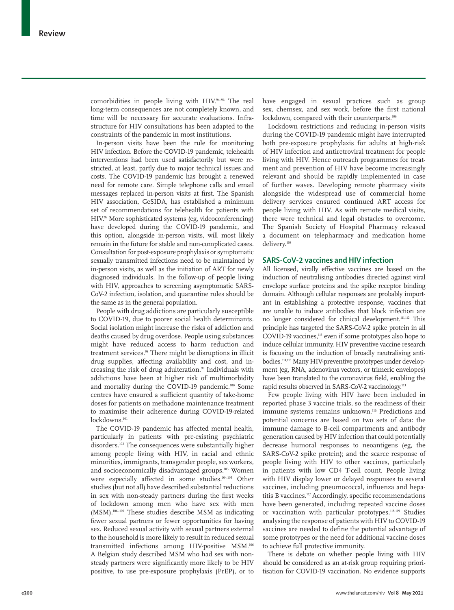comorbidities in people living with HIV.94–96 The real long-term consequences are not completely known, and time will be necessary for accurate evaluations. Infrastructure for HIV consultations has been adapted to the constraints of the pandemic in most institutions.

In-person visits have been the rule for monitoring HIV infection. Before the COVID-19 pandemic, telehealth interventions had been used satisfactorily but were restricted, at least, partly due to major technical issues and costs. The COVID-19 pandemic has brought a renewed need for remote care. Simple telephone calls and email messages replaced in-person visits at first. The Spanish HIV association, GeSIDA, has established a minimum set of recommendations for telehealth for patients with HIV.<sup>97</sup> More sophisticated systems (eg, videoconferencing) have developed during the COVID-19 pandemic, and this option, alongside in-person visits, will most likely remain in the future for stable and non-complicated cases. Consultation for post-exposure prophylaxis or symptomatic sexually transmitted infections need to be maintained by in-person visits, as well as the initiation of ART for newly diagnosed individuals. In the follow-up of people living with HIV, approaches to screening asymptomatic SARS-CoV-2 infection, isolation, and quarantine rules should be the same as in the general population.

People with drug addictions are particularly susceptible to COVID-19, due to poorer social health determinants. Social isolation might increase the risks of addiction and deaths caused by drug overdose. People using substances might have reduced access to harm reduction and treatment services.<sup>98</sup> There might be disruptions in illicit drug supplies, affecting availability and cost, and increasing the risk of drug adulteration.<sup>99</sup> Individuals with addictions have been at higher risk of multimorbidity and mortality during the COVID-19 pandemic.<sup>100</sup> Some centres have ensured a sufficient quantity of take-home doses for patients on methadone maintenance treatment to maximise their adherence during COVID-19-related lockdowns.<sup>101</sup>

The COVID-19 pandemic has affected mental health, particularly in patients with pre-existing psychiatric disorders.102 The consequences were substantially higher among people living with HIV, in racial and ethnic minorities, immigrants, transgender people, sex workers, and socioeconomically disadvantaged groups.<sup>103</sup> Women were especially affected in some studies.<sup>104,105</sup> Other studies (but not all) have described substantial reductions in sex with non-steady partners during the first weeks of lockdown among men who have sex with men (MSM).106–109 These studies describe MSM as indicating fewer sexual partners or fewer opportunities for having sex. Reduced sexual activity with sexual partners external to the household is more likely to result in reduced sexual transmitted infections among HIV-positive MSM.106 A Belgian study described MSM who had sex with nonsteady partners were significantly more likely to be HIV positive, to use pre-exposure prophylaxis (PrEP), or to have engaged in sexual practices such as group sex, chemsex, and sex work, before the first national lockdown, compared with their counterparts.<sup>106</sup>

Lockdown restrictions and reducing in-person visits during the COVID-19 pandemic might have interrupted both pre-exposure prophylaxis for adults at high-risk of HIV infection and antiretroviral treatment for people living with HIV. Hence outreach programmes for treatment and prevention of HIV have become increasingly relevant and should be rapidly implemented in case of further waves. Developing remote pharmacy visits alongside the widespread use of commercial home delivery services ensured continued ART access for people living with HIV. As with remote medical visits, there were technical and legal obstacles to overcome. The Spanish Society of Hospital Pharmacy released a document on telepharmacy and medication home delivery.<sup>110</sup>

### **SARS-CoV-2 vaccines and HIV infection**

All licensed, virally effective vaccines are based on the induction of neutralising antibodies directed against viral envelope surface proteins and the spike receptor binding domain. Although cellular responses are probably important in establishing a protective response, vaccines that are unable to induce antibodies that block infection are no longer considered for clinical development.111,112 This principle has targeted the SARS-CoV-2 spike protein in all COVID-19 vaccines,<sup>113</sup> even if some prototypes also hope to induce cellular immunity. HIV preventive vaccine research is focusing on the induction of broadly neutralising antibodies.114,115 Many HIV-preventive prototypes under development (eg, RNA, adenovirus vectors, or trimeric envelopes) have been translated to the coronavirus field, enabling the rapid results observed in SARS-CoV-2 vaccinology.113

Few people living with HIV have been included in reported phase 3 vaccine trials, so the readiness of their immune systems remains unknown.<sup>116</sup> Predictions and potential concerns are based on two sets of data: the immune damage to B-cell compartments and antibody generation caused by HIV infection that could potentially decrease humoral responses to neoantigens (eg, the SARS-CoV-2 spike protein); and the scarce response of people living with HIV to other vaccines, particularly in patients with low CD4 T-cell count. People living with HIV display lower or delayed responses to several vaccines, including pneumococcal, influenza and hepatitis B vaccines.<sup>117</sup> Accordingly, specific recommendations have been generated, including repeated vaccine doses or vaccination with particular prototypes.<sup>118,119</sup> Studies analysing the response of patients with HIV to COVID-19 vaccines are needed to define the potential advantage of some prototypes or the need for additional vaccine doses to achieve full protective immunity.

There is debate on whether people living with HIV should be considered as an at-risk group requiring prioritisation for COVID-19 vaccination. No evidence supports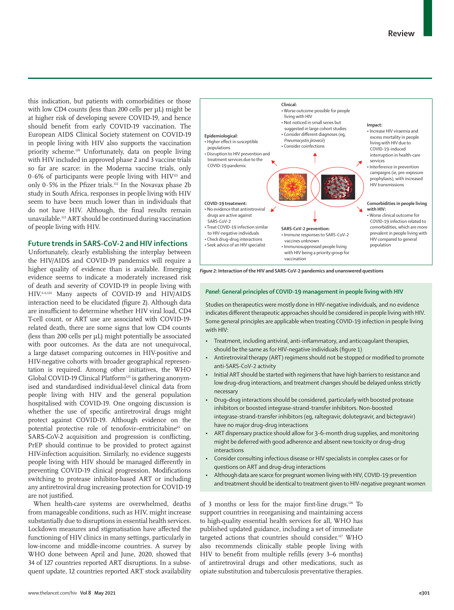this indication, but patients with comorbidities or those with low CD4 counts (less than 200 cells per µL) might be at higher risk of developing severe COVID-19, and hence should benefit from early COVID-19 vaccination. The European AIDS Clinical Society statement on COVID-19 in people living with HIV also supports the vaccination priority scheme.120 Unfortunately, data on people living with HIV included in approved phase 2 and 3 vaccine trials so far are scarce: in the Moderna vaccine trials, only  $0.6\%$  of participants were people living with HIV<sup>121</sup> and only  $0.5\%$  in the Pfizer trials.<sup>122</sup> In the Novavax phase 2b study in South Africa, responses in people living with HIV seem to have been much lower than in individuals that do not have HIV. Although, the final results remain unavailable.123 ART should be continued during vaccination of people living with HIV.

## **Future trends in SARS-CoV-2 and HIV infections**

Unfortunately, clearly establishing the interplay between the HIV/AIDS and COVID-19 pandemics will require a higher quality of evidence than is available. Emerging evidence seems to indicate a moderately increased risk of death and severity of COVID-19 in people living with HIV.4–6,124 Many aspects of COVID-19 and HIV/AIDS interaction need to be elucidated (figure 2). Although data are insufficient to determine whether HIV viral load, CD4 T-cell count, or ART use are associated with COVID-19 related death, there are some signs that low CD4 counts (less than 200 cells per µL) might potentially be associated with poor outcomes. As the data are not unequivocal, a large dataset comparing outcomes in HIV-positive and HIV-negative cohorts with broader geographical representation is required. Among other initiatives, the WHO Global COVID-19 Clinical Platform<sup>125</sup> is gathering anonymised and standardised individual-level clinical data from people living with HIV and the general population hospitalised with COVID-19. One ongoing discussion is whether the use of specific antiretroviral drugs might protect against COVID-19. Although evidence on the potential protective role of tenofovir-emtricitabine<sup>65</sup> on SARS-CoV-2 acquisition and progression is conflicting, PrEP should continue to be provided to protect against HIV-infection acquisition. Similarly, no evidence suggests people living with HIV should be managed differently in preventing COVID-19 clinical progression. Modifications switching to protease inhibitor-based ART or including any antiretroviral drug increasing protection for COVID-19 are not justified.

When health-care systems are overwhelmed, deaths from manageable conditions, such as HIV, might increase substantially due to disruptions in essential health services. Lockdown measures and stigmatisation have affected the functioning of HIV clinics in many settings, particularly in low-income and middle-income countries. A survey by WHO done between April and June, 2020, showed that 34 of 127 countries reported ART disruptions. In a subsequent update, 12 countries reported ART stock availability



*Figure 2:* **Interaction of the HIV and SARS-CoV-2 pandemics and unanswered questions**

#### *Panel***: General principles of COVID-19 management in people living with HIV**

Studies on therapeutics were mostly done in HIV-negative individuals, and no evidence indicates different therapeutic approaches should be considered in people living with HIV. Some general principles are applicable when treating COVID-19 infection in people living with HIV:

- Treatment, including antiviral, anti-inflammatory, and anticoagulant therapies, should be the same as for HIV-negative individuals (figure 1)
- Antiretroviral therapy (ART) regimens should not be stopped or modified to promote anti-SARS-CoV-2 activity
- Initial ART should be started with regimens that have high barriers to resistance and low drug–drug interactions, and treatment changes should be delayed unless strictly necessary
- Drug–drug interactions should be considered, particularly with boosted protease inhibitors or boosted integrase-strand-transfer inhibitors. Non-boosted integrase-strand-transfer inhibitors (eg, raltegravir, dolutegravir, and bictegravir) have no major drug–drug interactions
- ART dispensary practice should allow for 3–6-month drug supplies, and monitoring might be deferred with good adherence and absent new toxicity or drug–drug interactions
- Consider consulting infectious disease or HIV specialists in complex cases or for questions on ART and drug–drug interactions
- Although data are scarce for pregnant women living with HIV, COVID-19 prevention and treatment should be identical to treatment given to HIV-negative pregnant women

of 3 months or less for the major first-line drugs.126 To support countries in reorganising and maintaining access to high-quality essential health services for all, WHO has published updated guidance, including a set of immediate targeted actions that countries should consider.<sup>127</sup> WHO also recommends clinically stable people living with HIV to benefit from multiple refills (every 3–6 months) of antiretroviral drugs and other medications, such as opiate substitution and tuberculosis preventative therapies.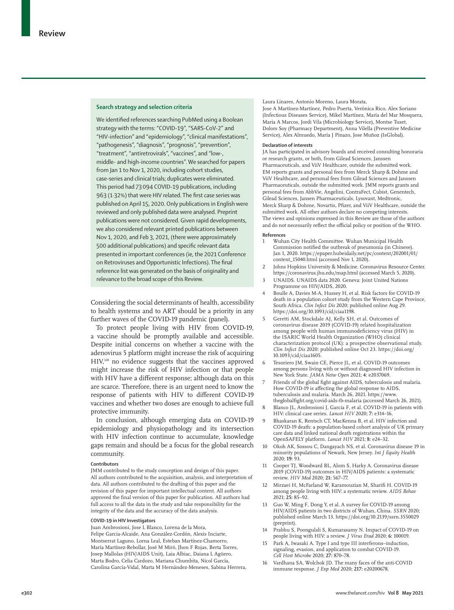#### **Search strategy and selection criteria**

We identified references searching PubMed using a Boolean strategy with the terms: "COVID-19", "SARS-CoV-2" and "HIV-infection" and "epidemiology", "clinical manifestations", "pathogenesis", "diagnosis", "prognosis", "prevention", "treatment", "antiretrovirals", "vaccines", and "low-, middle- and high-income countries". We searched for papers from Jan 1 to Nov 1, 2020, including cohort studies, case-series and clinical trials; duplicates were eliminated. This period had 73094 COVID-19 publications, including 963 (1·32%) that were HIV related. The first case series was published on April 15, 2020. Only publications in English were reviewed and only published data were analysed. Preprint publications were not considered. Given rapid developments, we also considered relevant printed publications between Nov 1, 2020, and Feb 3, 2021, (there were approximately 500 additional publications) and specific relevant data presented in important conferences (ie, the 2021 Conference on Retroviruses and Opportunistic Infections). The final reference list was generated on the basis of originality and relevance to the broad scope of this Review.

Considering the social determinants of health, accessibility to health systems and to ART should be a priority in any further waves of the COVID-19 pandemic (panel).

To protect people living with HIV from COVID-19, a vaccine should be promptly available and accessible. Despite initial concerns on whether a vaccine with the adenovirus 5 platform might increase the risk of acquiring HIV,<sup>128</sup> no evidence suggests that the vaccines approved might increase the risk of HIV infection or that people with HIV have a different response; although data on this are scarce. Therefore, there is an urgent need to know the response of patients with HIV to different COVID-19 vaccines and whether two doses are enough to achieve full protective immunity.

In conclusion, although emerging data on COVID-19 epidemiology and physiopathology and its intersection with HIV infection continue to accumulate, knowledge gaps remain and should be a focus for the global research community.

#### **Contributors**

JMM contributed to the study conception and design of this paper. All authors contributed to the acquisition, analysis, and interpretation of data. All authors contributed to the drafting of this paper and the revision of this paper for important intellectual content. All authors approved the final version of this paper for publication. All authors had full access to all the data in the study and take responsibility for the integrity of the data and the accuracy of the data analysis.

#### **COVID-19 in HIV Investigators**

Juan Ambrosioni, Jose L Blanco, Lorena de la Mora, Felipe Garcia-Alcaide, Ana González-Cordón, Alexis Inciarte, Montserrat Laguno, Lorna Leal, Esteban Martínez-Chamorro, María Martínez-Rebollar, José M Miró, Jhon F Rojas, Berta Torres, Josep Mallolas (HIV/AIDS Unit), Laia Albiac, Daiana L Agüero, Marta Bodro, Celia Cardozo, Mariana Chumbita, Nicol García, Carolina García-Vidal, Marta M Hernández-Meneses, Sabina Herrera, Laura Linares, Antonio Moreno, Laura Morata,

Jose A Martínez-Martínez, Pedro Puerta, Verónica Rico, Alex Soriano (Infectious Diseases Service), Mikel Martínez, María del Mar Mosquera, Maria A Marcos, Jordi Vila (Microbiology Service), Montse Tuset, Dolors Soy (Pharmacy Department), Anna Vilella (Preventive Medicine Service), Alex Almuedo, María J Pinazo, Jose Muñoz (IsGlobal).

#### **Declaration of interests**

JA has participated in advisory boards and received consulting honoraria or research grants, or both, from Gilead Sciences, Janssen Pharmaceuticals, and ViiV Healthcare, outside the submitted work. EM reports grants and personal fees from Merck Sharp & Dohme and ViiV Healthcare, and personal fees from Gilead Sciences and Janssen Pharmaceuticals, outside the submitted work. JMM reports grants and personal fees from AbbVie, Angelini, ContraFect, Cubist, Genentech, Gilead Sciences, Jansen Pharmaceuticals, Lysovant, Medtronic, Merck Sharp & Dohme, Novartis, Pfizer, and ViiV Healthcare, outside the submitted work. All other authors declare no competing interests. The views and opinions expressed in this Review are those of the authors and do not necessarily reflect the official policy or position of the WHO.

#### **References**

- 1 Wuhan City Health Committee. Wuhan Municipal Health Commission notified the outbreak of pneumonia (in Chinese). Jan 1, 2020. https://epaper.hubeidaily.net/pc/content/202001/01/ content\_15040.html (accessed Nov 1, 2020).
- 2 Johns Hopkins University & Medicine. Coronavirus Resource Center. https://coronavirus.jhu.edu/map.html (accessed March 5, 2020).
- 3 UNAIDS. UNAIDS data 2020. Geneva: Joint United Nations Programme on HIV/AIDS, 2020.
- 4 Boulle A, Davies M-A, Hussey H, et al*.* Risk factors for COVID-19 death in a population cohort study from the Western Cape Province, South Africa. *Clin Infect Dis* 2020; published online Aug 29. https://doi.org/10.1093/cid/ciaa1198.
- 5 Geretti AM, Stockdale AJ, Kelly SH, et al*.* Outcomes of coronavirus disease 2019 (COVID-19) related hospitalization among people with human immunodeficiency virus (HIV) in the ISARIC World Health Organization (WHO) clinical characterization protocol (UK): a prospective observational study. *Clin Infect Dis* 2020: published online Oct 23. https://doi.org/ 10.1093/cid/ciaa1605.
- 6 Tesoriero JM, Swain CE, Pierce JL, et al*.* COVID-19 outcomes among persons living with or without diagnosed HIV infection in New York State. *JAMA Netw Open* 2021; **4**: e2037069.
- Friends of the global fight against AIDS, tuberculosis and malaria. How COVID-19 is affecting the global response to AIDS, tuberculosis and malaria. March 26, 2021. https://www. theglobalfight.org/covid-aids-tb-malaria (accessed March 26, 2021).
- 8 Blanco JL, Ambrosioni J, Garcia F, et al. COVID-19 in patients with HIV: clinical case series. *Lancet HIV* 2020; **7:** e314–16.
- 9 Bhaskaran K, Rentsch CT, MacKenna B, et al. HIV infection and COVID-19 death: a population-based cohort analysis of UK primary care data and linked national death registrations within the OpenSAFELY platform. *Lancet HIV* 2021; **8:** e24–32.
- 10 Okoh AK, Sossou C, Dangayach NS, et al. Coronavirus disease 19 in minority populations of Newark, New Jersey. *Int J Equity Health* 2020; **19:** 93.
- 11 Cooper TJ, Woodward BL, Alom S, Harky A. Coronavirus disease 2019 (COVID-19) outcomes in HIV/AIDS patients: a systematic review. *HIV Med* 2020; **21:** 567–77.
- 12 Mirzaei H, McFarland W, Karamouzian M, Sharifi H. COVID-19 among people living with HIV: a systematic review. *AIDS Behav* 2021; **25:** 85–92.
- 13 Guo W, Ming F, Dong Y, et al. A survey for COVID-19 among HIV/AIDS patients in two districts of Wuhan, China. *SSRN* 2020; published online March 13. https://doi.org/10.2139/ssrn.3550029 (preprint).
- 14 Prabhu S, Poongulali S, Kumarasamy N. Impact of COVID-19 on people living with HIV: a review. *J Virus Erad* 2020; **6:** 100019.
- 15 Park A, Iwasaki A. Type I and type III interferons–induction, signaling, evasion, and application to combat COVID-19. *Cell Host Microbe* 2020; **27:** 870–78.
- Vardhana SA, Wolchok JD. The many faces of the anti-COVID immune response. *J Exp Med* 2020; **217:** e20200678.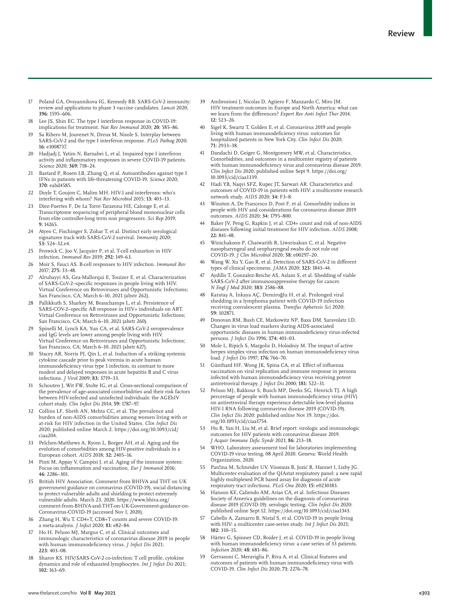- 17 Poland GA, Ovsyannikova IG, Kennedy RB. SARS-CoV-2 immunity: review and applications to phase 3 vaccine candidates. *Lancet* 2020; **396:** 1595–606.
- 18 Lee JS, Shin EC. The type I interferon response in COVID-19: implications for treatment. *Nat Rev Immunol* 2020; **20:** 585–86.
- 19 Sa Ribero M, Jouvenet N, Dreux M, Nisole S. Interplay between SARS-CoV-2 and the type I interferon response. *PLoS Pathog* 2020; **16:** e1008737.
- 20 Hadjadj J, Yatim N, Barnabei L, et al. Impaired type I interferon activity and inflammatory responses in severe COVID-19 patients. *Science* 2020; **369:** 718–24.
- 21 Bastard P, Rosen LB, Zhang Q, et al*.* Autoantibodies against type I IFNs in patients with life-threatening COVID-19. *Science* 2020; **370**: eabd4585.
- Doyle T, Goujon C, Malim MH. HIV-1 and interferons: who's interfering with whom? *Nat Rev Microbiol* 2015; **13:** 403–13.
- 23 Díez-Fuertes F, De La Torre-Tarazona HE, Calonge E, et al. Transcriptome sequencing of peripheral blood mononuclear cells from elite controller-long term non progressors. *Sci Rep* 2019; **9:** 14265.
- 24 Atyeo C, Fischinger S, Zohar T, et al. Distinct early serological signatures track with SARS-CoV-2 survival. *Immunity* 2020; **53:** 524–32.e4.
- 25 Fenwick C, Joo V, Jacquier P, et al. T-cell exhaustion in HIV infection. *Immunol Rev* 2019; **292:** 149–63.
- 26 Moir S, Fauci AS. B-cell responses to HIV infection. *Immunol Rev* 2017; **275:** 33–48.
- 27 Alrubayyi AS, Gea-Mallorqui E, Touizer E, et al. Characterization of SARS-CoV-2–specific responses in people living with HIV. Virtual Conference on Retroviruses and Opportunistic Infections; San Francisco, CA; March 6–10, 2021 (abstr 262).
- 28 Pallikkuth S, Sharkey M, Beauchamps L, et al. Persistence of SARS-COV-2–specific AB response in HIV+ individuals on ART. Virtual Conference on Retroviruses and Opportunistic Infections; San Francisco, CA; March 6–10, 2021 (abstr 260).
- 29 Spinelli M, Lynch KA, Yun CA, et al. SARS-CoV-2 seroprevalence and IgG levels are lower among people living with HIV. Virtual Conference on Retroviruses and Opportunistic Infections; San Francisco, CA; March 6–10, 2021 (abstr 627).
- 30 Stacey AR, Norris PJ, Qin L, et al. Induction of a striking systemic cytokine cascade prior to peak viremia in acute human immunodeficiency virus type 1 infection, in contrast to more modest and delayed responses in acute hepatitis B and C virus infections. *J Virol* 2009; **83:** 3719–33.
- 31 Schouten J, Wit FW, Stolte IG, et al. Cross-sectional comparison of the prevalence of age-associated comorbidities and their risk factors between HIV-infected and uninfected individuals: the AGEhIV cohort study. *Clin Infect Dis* 2014; **59:** 1787–97.
- 32 Collins LF, Sheth AN, Mehta CC, et al*.* The prevalence and burden of non-AIDS comorbidities among women living with or at-risk for HIV infection in the United States. *Clin Infect Dis* 2020; published online March 2. https://doi.org/10.1093/cid/ ciaa204.
- 33 Pelchen-Matthews A, Ryom L, Borges ÁH, et al. Aging and the evolution of comorbidities among HIV-positive individuals in a European cohort. *AIDS* 2018; **32:** 2405–16.
- 34 Pinti M, Appay V, Campisi J, et al. Aging of the immune system: Focus on inflammation and vaccination. *Eur J Immunol* 2016; **46:** 2286–301.
- 35 British HIV Association. Comment from BHIVA and THT on UK government guidance on coronavirus (COVID-19), social distancing to protect vulnerable adults and shielding to protect extremely vulnerable adults. March 23, 2020. https://www.bhiva.org/ comment-from-BHIVA-and-THT-on-UK-Government-guidance-on-Coronavirus-COVID-19 (accessed Nov 1, 2020).
- 36 Zhang H, Wu T. CD4+T, CD8+T counts and severe COVID-19: a meta-analysis. *J Infect* 2020; **81:** e82–84.
- Ho H, Peluso MJ, Margus C, et al. Clinical outcomes and immunologic characteristics of coronavirus disease 2019 in people with human immunodeficiency virus. *J Infect Dis* 2021; **223:** 403–08.
- 38 Sharov KS. HIV/SARS-CoV-2 co-infection: T cell profile, cytokine dynamics and role of exhausted lymphocytes. *Int J Infect Dis* 2021; **102:** 163–69.
- 39 Ambrosioni J, Nicolas D, Agüero F, Manzardo C, Miro JM. HIV treatment outcomes in Europe and North America: what can we learn from the differences? *Expert Rev Anti Infect Ther* 2014; **12:** 523–26.
- Sigel K, Swartz T, Golden E, et al. Coronavirus 2019 and people living with human immunodeficiency virus: outcomes for hospitalized patients in New York City. *Clin Infect Dis* 2020; **71:** 2933–38.
- 41 Dandachi D, Geiger G, Montgomery MW, et al*.* Characteristics, Comorbidities, and outcomes in a multicenter registry of patients with human immunodeficiency virus and coronavirus disease 2019. *Clin Infect Dis* 2020; published online Sept 9. https://doi.org/ 10.1093/cid/ciaa1339.
- 42 Hadi YB, Naqvi SFZ, Kupec JT, Sarwari AR. Characteristics and outcomes of COVID-19 in patients with HIV: a multicentre research network study. *AIDS* 2020; **34:** F3–8.
- 43 Winston A, De Francesco D, Post F, et al. Comorbidity indices in people with HIV and considerations for coronavirus disease 2019 outcomes. *AIDS* 2020; **34:** 1795–800.
- Baker JV, Peng G, Rapkin J, et al. CD4+ count and risk of non-AIDS diseases following initial treatment for HIV infection. *AIDS* 2008; **22:** 841–48.
- 45 Winichakoon P, Chaiwarith R, Liwsrisakun C, et al. Negative nasopharyngeal and oropharyngeal swabs do not rule out COVID-19. *J Clin Microbiol* 2020; **58:** e00297–20.
- Wang W, Xu Y, Gao R, et al. Detection of SARS-CoV-2 in different types of clinical specimens. *JAMA* 2020; **323:** 1843–44.
- 47 Aydillo T, Gonzalez-Reiche AS, Aslam S, et al. Shedding of viable SARS-CoV-2 after immunosuppressive therapy for cancer. *N Engl J Med* 2020; **383:** 2586–88.
- 48 Karataş A, İnkaya AÇ, Demiroğlu H, et al. Prolonged viral shedding in a lymphoma patient with COVID-19 infection receiving convalescent plasma. *Transfus Apheresis Sci* 2020; **59:** 102871.
- 49 Donovan RM, Bush CE, Markowitz NP, Baxa DM, Saravolatz LD. Changes in virus load markers during AIDS-associated opportunistic diseases in human immunodeficiency virus-infected persons. *J Infect Dis* 1996; **174:** 401–03.
- 50 Mole L, Ripich S, Margolis D, Holodniy M. The impact of active herpes simplex virus infection on human immunodeficiency virus load. *J Infect Dis* 1997; **176:** 766–70.
- 51 Günthard HF, Wong JK, Spina CA, et al. Effect of influenza vaccination on viral replication and immune response in persons infected with human immunodeficiency virus receiving potent antiretroviral therapy. *J Infect Dis* 2000; **181:** 522–31.
- 52 Peluso MJ, Bakkour S, Busch MP, Deeks SG, Henrich TJ. A high percentage of people with human immunodeficiency virus (HIV) on antiretroviral therapy experience detectable low-level plasma HIV-1 RNA following coronavirus disease 2019 (COVID-19). *Clin Infect Dis* 2020: published online Nov 19. https://doi. org/10.1093/cid/ciaa1754.
- 53 Hu R, Yan H, Liu M, et al. Brief report: virologic and immunologic outcomes for HIV patients with coronavirus disease 2019. *J Acquir Immune Defic Syndr* 2021; **86:** 213–18.
- 54 WHO. Laboratory assessment tool for laboratories implementing COVID-19 virus testing, 08 April 2020. Geneva: World Health Organization, 2020.
- 55 Parčina M, Schneider UV, Visseaux B, Jozić R, Hannet I, Lisby JG. Multicenter evaluation of the QIAstat respiratory panel: a new rapid highly multiplexed PCR based assay for diagnosis of acute respiratory tract infections. *PLoS One* 2020; **15:** e0230183.
- 56 Hanson KE, Caliendo AM, Arias CA, et al*.* Infectious Diseases Society of America guidelines on the diagnosis of coronavirus disease 2019 (COVID-19): serologic testing. *Clin Infect Dis* 2020: published online Sept 12. https://doi.org/10.1093/cid/ciaa1343.
- Cabello A, Zamarro B, Nistal S, et al. COVID-19 in people living with HIV: a multicenter case-series study. *Int J Infect Dis* 2021; **102:** 310–15.
- 58 Härter G, Spinner CD, Roider J, et al. COVID-19 in people living with human immunodeficiency virus: a case series of 33 patients. *Infection* 2020; **48:** 681–86.
- Gervasoni C, Meraviglia P, Riva A, et al. Clinical features and outcomes of patients with human immunodeficiency virus with COVID-19. *Clin Infect Dis* 2020; **71:** 2276–78.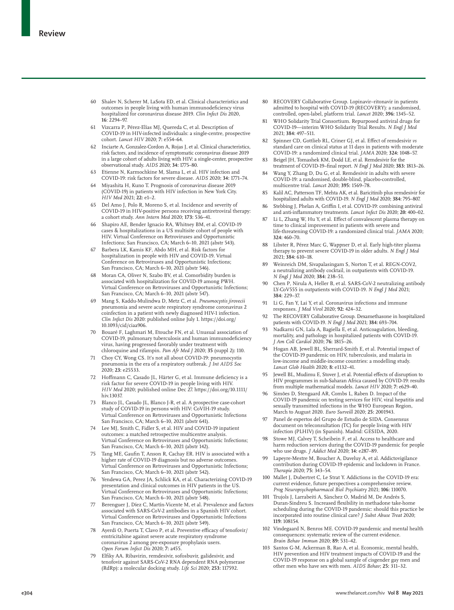- 60 Shalev N, Scherer M, LaSota ED, et al. Clinical characteristics and outcomes in people living with human immunodeficiency virus hospitalized for coronavirus disease 2019. *Clin Infect Dis* 2020, **16**: 2294–97.
- Vizcarra P, Pérez-Elías MJ, Quereda C, et al. Description of COVID-19 in HIV-infected individuals: a single-centre, prospective cohort. *Lancet HIV* 2020; **7:** e554–64.
- 62 Inciarte A, Gonzalez-Cordon A, Rojas J, et al. Clinical characteristics, risk factors, and incidence of symptomatic coronavirus disease 2019 in a large cohort of adults living with HIV: a single-center, prospective observational study. *AIDS* 2020; **34:** 1775–80.
- 63 Etienne N, Karmochkine M, Slama L, et al. HIV infection and COVID-19: risk factors for severe disease. *AIDS* 2020; **34:** 1771–74.
- 64 Miyashita H, Kuno T. Prognosis of coronavirus disease 2019 (COVID-19) in patients with HIV infection in New York City. *HIV Med* 2021; **22:** e1–2.
- 65 Del Amo J, Polo R, Moreno S, et al. Incidence and severity of COVID-19 in HIV-positive persons receiving antiretroviral therapy: a cohort study. *Ann Intern Med* 2020; **173:** 536–41.
- 66 Shapiro AE, Bender Ignacio RA, Whitney BM, et al. COVID-19 cases & hospitalizations in a US multisite cohort of people with HIV. Virtual Conference on Retroviruses and Opportunistic Infections; San Francisco, CA; March 6–10, 2021 (abstr 543).
- 67 Barbera LK, Kamis KF, Abdo MH, et al. Risk factors for hospitalization in people with HIV and COVID-19. Virtual Conference on Retroviruses and Opportunistic Infections; San Francisco, CA; March 6–10, 2021 (abstr 546).
- 68 Moran CA, Oliver N, Szabo BV, et al. Comorbidity burden is associated with hospitalization for COVID-19 among PWH. Virtual Conference on Retroviruses and Opportunistic Infections; San Francisco, CA; March 6–10, 2021 (abstr 547).
- 69 Mang S, Kaddu-Mulindwa D, Metz C, et al. *Pneumocystis jirovecii* pneumonia and severe acute respiratory syndrome coronavirus 2 coinfection in a patient with newly diagnosed HIV-1 infection. *Clin Infect Dis* 2020: published online July 1. https://doi.org/ 10.1093/cid/ciaa906.
- 70 Bouaré F, Laghmari M, Etouche FN, et al. Unusual association of COVID-19, pulmonary tuberculosis and human immunodeficiency virus, having progressed favorably under treatment with chloroquine and rifampin. *Pan Afr Med J* 2020; **35** (suppl 2)**:** 110.
- 71 Choy CY, Wong CS. It's not all about COVID-19: pneumocystis pneumonia in the era of a respiratory outbreak. *J Int AIDS Soc* 2020; **23:** e25533.
- 72 Hoffmann C, Casado JL, Härter G, et al. Immune deficiency is a risk factor for severe COVID-19 in people living with HIV. *HIV Med* 2020; published online Dec 27. https://doi.org/10.1111/ hiv.13037.
- 73 Blanco JL, Casado JL, Blanco J-R, et al. A prospective case-cohort study of COVID-19 in persons with HIV: CoVIH-19 study Virtual Conference on Retroviruses and Opportunistic Infections San Francisco, CA; March 6–10, 2021 (abstr 641).
- 74 Lee MJ, Smith C, Fidler S, et al. HIV and COVID-19 inpatient outcomes: a matched retrospective multicentre analysis. Virtual Conference on Retroviruses and Opportunistic Infections; San Francisco, CA; March 6–10, 2021 (abstr 142).
- 75 Tang ME, Gaufin T, Anson R, Cachay ER. HIV is associated with a higher rate of COVID-19 diagnosis but no adverse outcomes. Virtual Conference on Retroviruses and Opportunistic Infections; San Francisco, CA; March 6–10, 2021 (abstr 542).
- 76 Yendewa GA, Perez JA, Schlick KA, et al. Characterizing COVID-19 presentation and clinical outcomes in HIV patients in the US. Virtual Conference on Retroviruses and Opportunistic Infections; San Francisco, CA; March 6–10, 2021 (abstr 548).
- 77 Berenguer J, Díez C, Martín-Vicente M, et al. Prevalence and factors associated with SARS-CoV-2 antibodies in a Spanish HIV cohort. Virtual Conference on Retroviruses and Opportunistic Infections San Francisco, CA; March 6–10, 2021 (abstr 549).
- 78 Ayerdi O, Puerta T, Clavo P, et al. Preventive efficacy of tenofovir/ emtricitabine against severe acute respiratory syndrome coronavirus 2 among pre-exposure prophylaxis users. *Open Forum Infect Dis* 2020; **7:** a455.
- 79 Elfiky AA. Ribavirin, remdesivir, sofosbuvir, galidesivir, and tenofovir against SARS-CoV-2 RNA dependent RNA polymerase (RdRp): a molecular docking study. *Life Sci* 2020; **253:** 117592.
- 80 RECOVERY Collaborative Group. Lopinavir–ritonavir in patients admitted to hospital with COVID-19 (RECOVERY): a randomised, controlled, open-label, platform trial. *Lancet* 2020; **396:** 1345–52.
- WHO Solidarity Trial Consortium. Repurposed antiviral drugs for COVID-19—interim WHO Solidarity Trial Results. *N Engl J Med* 2021; **384:** 497–511.
- 82 Spinner CD, Gottlieb RL, Criner GJ, et al. Effect of remdesivir *vs* standard care on clinical status at 11 days in patients with moderate COVID-19: a randomized clinical trial. *JAMA* 2020; **324:** 1048–57.
- 83 Beigel JH, Tomashek KM, Dodd LE, et al. Remdesivir for the treatment of COVID-19–final report. *N Engl J Med* 2020; **383:** 1813–26.
- 84 Wang Y, Zhang D, Du G, et al. Remdesivir in adults with severe COVID-19: a randomised, double-blind, placebo-controlled, multicentre trial. *Lancet* 2020; **395:** 1569–78.
- Kalil AC, Patterson TF, Mehta AK, et al. Baricitinib plus remdesivir for hospitalized adults with COVID-19. *N Engl J Med* 2020; **384:** 795–807.
- 86 Stebbing J, Phelan A, Griffin I, et al. COVID-19: combining antiviral and anti-inflammatory treatments. *Lancet Infect Dis* 2020; **20:** 400–02.
- Li L, Zhang W, Hu Y, et al. Effect of convalescent plasma therapy on time to clinical improvement in patients with severe and life-threatening COVID-19: a randomized clinical trial. *JAMA* 2020; **324:** 460–70.
- 88 Libster R, Pérez Marc G, Wappner D, et al. Early high-titer plasma therapy to prevent severe COVID-19 in older adults. *N Engl J Med* 2021; **384:** 610–18.
- Weinreich DM, Sivapalasingam S, Norton T, et al. REGN-COV2, a neutralizing antibody cocktail, in outpatients with COVID-19. *N Engl J Med* 2020; **384:** 238–51.
- 90 Chen P, Nirula A, Heller B, et al. SARS-CoV-2 neutralizing antibody LY-CoV555 in outpatients with COVID-19. *N Engl J Med* 2021; **384:** 229–37.
- 91 Li G, Fan Y, Lai Y, et al. Coronavirus infections and immune responses. *J Med Virol* 2020; **92:** 424–32.
- 92 The RECOVERY Collaborative Group. Dexamethasone in hospitalized patients with COVID-19. *N Engl J Med* 2021; **384:** 693–704.
- 93 Nadkarni GN, Lala A, Bagiella E, et al. Anticoagulation, bleeding, mortality, and pathology in hospitalized patients with COVID-19. *J Am Coll Cardiol* 2020; **76:** 1815–26.
- Hogan AB, Jewell BL, Sherrard-Smith E, et al. Potential impact of the COVID-19 pandemic on HIV, tuberculosis, and malaria in low-income and middle-income countries: a modelling study. *Lancet Glob Health* 2020; **8:** e1132–41.
- 95 Jewell BL, Mudimu E, Stover J, et al. Potential effects of disruption to HIV programmes in sub-Saharan Africa caused by COVID-19: results from multiple mathematical models. *Lancet HIV* 2020; **7:** e629–40.
- Simões D, Stengaard AR, Combs L, Raben D. Impact of the COVID-19 pandemic on testing services for HIV, viral hepatitis and sexually transmitted infections in the WHO European Region, March to August 2020. *Euro Surveill* 2020; **25:** 2001943.
- 97 Panel de expertos del Grupo de Estudio de SIDA. Consensus document on teleconsultation (TC) for people living with HIV infection (PLHIV) (in Spanish). Madrid: GESIDA, 2020.
- Stowe MJ, Calvey T, Scheibein F, et al. Access to healthcare and harm reduction services during the COVID-19 pandemic for people who use drugs. *J Addict Med* 2020; **14:** e287–89.
- 99 Lapeyre-Mestre M, Boucher A, Daveluy A, et al. Addictovigilance contribution during COVID-19 epidemic and lockdown in France. *Therapie* 2020; **75:** 343–54.
- 100 Mallet J, Dubertret C, Le Strat Y. Addictions in the COVID-19 era: current evidence, future perspectives a comprehensive review. *Prog Neuropsychopharmacol Biol Psychiatry* 2021; **106:** 110070.
- 101 Trujols J, Larrabeiti A, Sànchez O, Madrid M, De Andrés S, Duran-Sindreu S. Increased flexibility in methadone take-home scheduling during the COVID-19 pandemic: should this practice be incorporated into routine clinical care? *J Subst Abuse Treat* 2020; **119:** 108154.
- 102 Vindegaard N, Benros ME. COVID-19 pandemic and mental health consequences: systematic review of the current evidence. *Brain Behav Immun* 2020; **89:** 531–42.
- Santos G-M, Ackerman B, Rao A, et al. Economic, mental health, HIV prevention and HIV treatment impacts of COVID-19 and the COVID-19 response on a global sample of cisgender gay men and other men who have sex with men. *AIDS Behav*; **25:** 311–32.